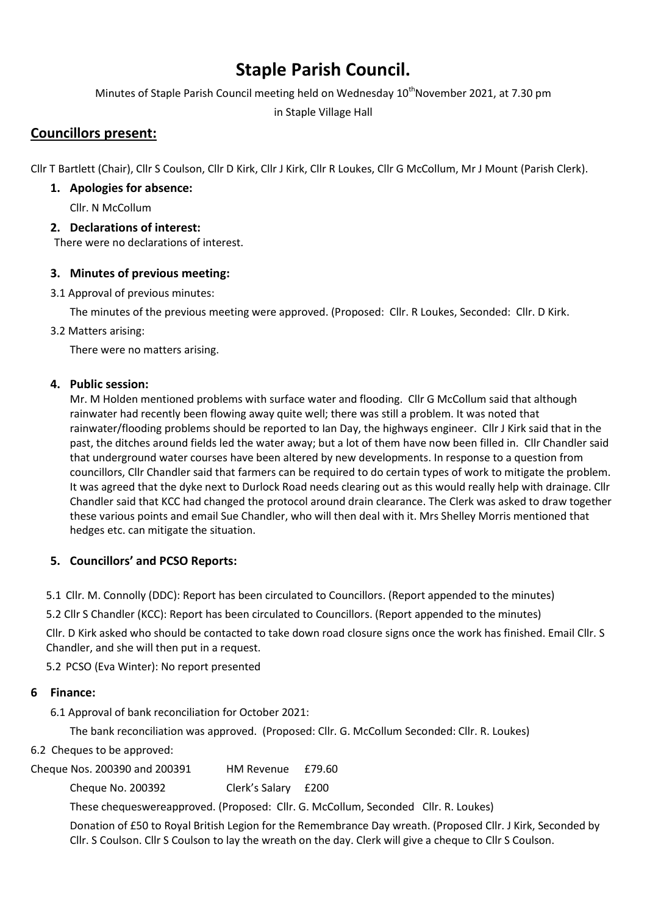# Staple Parish Council.

Minutes of Staple Parish Council meeting held on Wednesday 10<sup>th</sup>November 2021, at 7.30 pm

in Staple Village Hall

# Councillors present:

Cllr T Bartlett (Chair), Cllr S Coulson, Cllr D Kirk, Cllr J Kirk, Cllr R Loukes, Cllr G McCollum, Mr J Mount (Parish Clerk).

# 1. Apologies for absence:

Cllr. N McCollum

# 2. Declarations of interest:

There were no declarations of interest.

# 3. Minutes of previous meeting:

3.1 Approval of previous minutes:

The minutes of the previous meeting were approved. (Proposed: Cllr. R Loukes, Seconded: Cllr. D Kirk.

3.2 Matters arising:

There were no matters arising.

# 4. Public session:

Mr. M Holden mentioned problems with surface water and flooding. Cllr G McCollum said that although rainwater had recently been flowing away quite well; there was still a problem. It was noted that rainwater/flooding problems should be reported to Ian Day, the highways engineer. Cllr J Kirk said that in the past, the ditches around fields led the water away; but a lot of them have now been filled in. Cllr Chandler said that underground water courses have been altered by new developments. In response to a question from councillors, Cllr Chandler said that farmers can be required to do certain types of work to mitigate the problem. It was agreed that the dyke next to Durlock Road needs clearing out as this would really help with drainage. Cllr Chandler said that KCC had changed the protocol around drain clearance. The Clerk was asked to draw together these various points and email Sue Chandler, who will then deal with it. Mrs Shelley Morris mentioned that hedges etc. can mitigate the situation.

# 5. Councillors' and PCSO Reports:

5.1 Cllr. M. Connolly (DDC): Report has been circulated to Councillors. (Report appended to the minutes)

5.2 Cllr S Chandler (KCC): Report has been circulated to Councillors. (Report appended to the minutes)

Cllr. D Kirk asked who should be contacted to take down road closure signs once the work has finished. Email Cllr. S Chandler, and she will then put in a request.

5.2 PCSO (Eva Winter): No report presented

# 6 Finance:

6.1 Approval of bank reconciliation for October 2021:

The bank reconciliation was approved. (Proposed: Cllr. G. McCollum Seconded: Cllr. R. Loukes)

6.2 Cheques to be approved:

Cheque Nos. 200390 and 200391 HM Revenue £79.60

Cheque No. 200392 Clerk's Salary £200

These chequeswereapproved. (Proposed: Cllr. G. McCollum, Seconded Cllr. R. Loukes)

Donation of £50 to Royal British Legion for the Remembrance Day wreath. (Proposed Cllr. J Kirk, Seconded by Cllr. S Coulson. Cllr S Coulson to lay the wreath on the day. Clerk will give a cheque to Cllr S Coulson.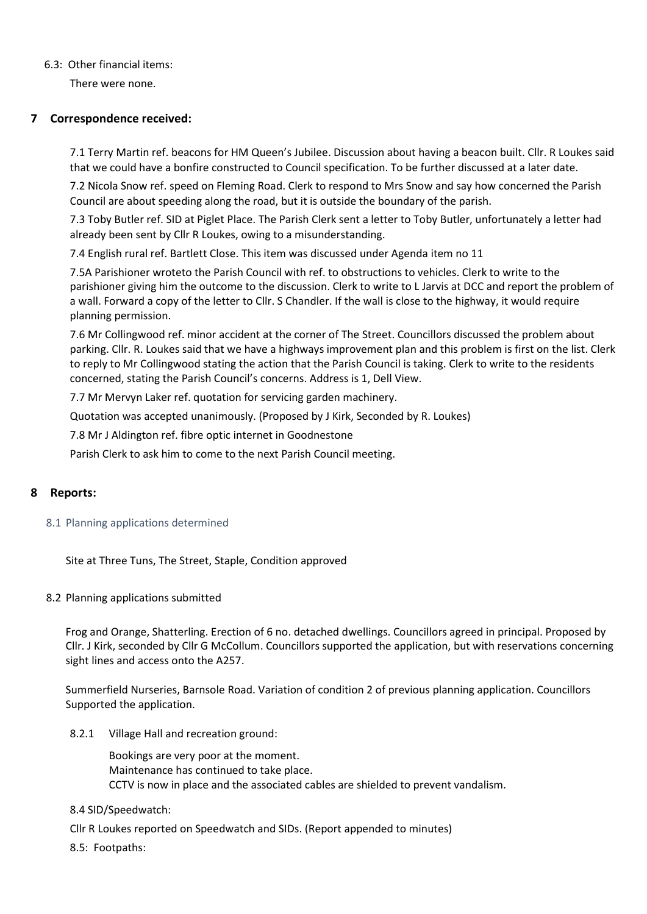#### 6.3: Other financial items:

There were none.

#### 7 Correspondence received:

7.1 Terry Martin ref. beacons for HM Queen's Jubilee. Discussion about having a beacon built. Cllr. R Loukes said that we could have a bonfire constructed to Council specification. To be further discussed at a later date.

7.2 Nicola Snow ref. speed on Fleming Road. Clerk to respond to Mrs Snow and say how concerned the Parish Council are about speeding along the road, but it is outside the boundary of the parish.

7.3 Toby Butler ref. SID at Piglet Place. The Parish Clerk sent a letter to Toby Butler, unfortunately a letter had already been sent by Cllr R Loukes, owing to a misunderstanding.

7.4 English rural ref. Bartlett Close. This item was discussed under Agenda item no 11

7.5A Parishioner wroteto the Parish Council with ref. to obstructions to vehicles. Clerk to write to the parishioner giving him the outcome to the discussion. Clerk to write to L Jarvis at DCC and report the problem of a wall. Forward a copy of the letter to Cllr. S Chandler. If the wall is close to the highway, it would require planning permission.

7.6 Mr Collingwood ref. minor accident at the corner of The Street. Councillors discussed the problem about parking. Cllr. R. Loukes said that we have a highways improvement plan and this problem is first on the list. Clerk to reply to Mr Collingwood stating the action that the Parish Council is taking. Clerk to write to the residents concerned, stating the Parish Council's concerns. Address is 1, Dell View.

7.7 Mr Mervyn Laker ref. quotation for servicing garden machinery.

Quotation was accepted unanimously. (Proposed by J Kirk, Seconded by R. Loukes)

7.8 Mr J Aldington ref. fibre optic internet in Goodnestone

Parish Clerk to ask him to come to the next Parish Council meeting.

## 8 Reports:

#### 8.1 Planning applications determined

Site at Three Tuns, The Street, Staple, Condition approved

#### 8.2 Planning applications submitted

Frog and Orange, Shatterling. Erection of 6 no. detached dwellings. Councillors agreed in principal. Proposed by Cllr. J Kirk, seconded by Cllr G McCollum. Councillors supported the application, but with reservations concerning sight lines and access onto the A257.

Summerfield Nurseries, Barnsole Road. Variation of condition 2 of previous planning application. Councillors Supported the application.

8.2.1 Village Hall and recreation ground:

Bookings are very poor at the moment. Maintenance has continued to take place. CCTV is now in place and the associated cables are shielded to prevent vandalism.

#### 8.4 SID/Speedwatch:

Cllr R Loukes reported on Speedwatch and SIDs. (Report appended to minutes)

8.5: Footpaths: